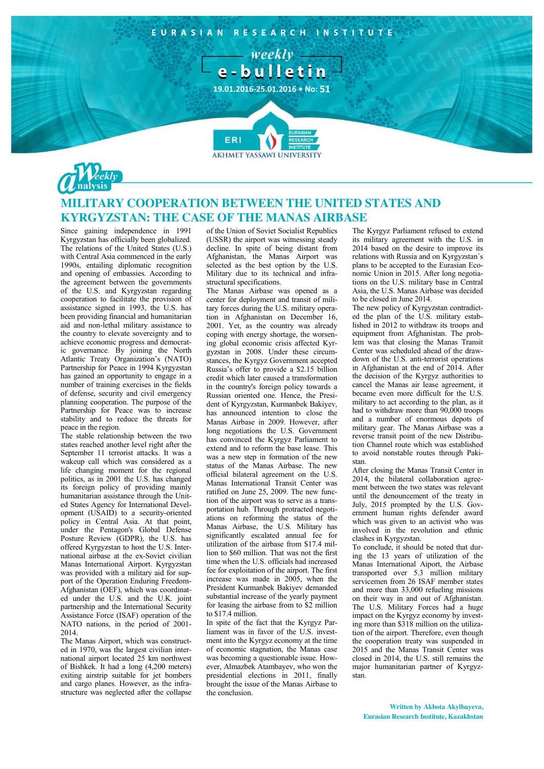



## **MILITARY COOPERATION BETWEEN THE UNITED STATES AND KYRGYZSTAN: THE CASE OF THE MANAS AIRBASE**

Since gaining independence in 1991 Kyrgyzstan has officially been globalized. The relations of the United States (U.S.) with Central Asia commenced in the early 1990s, entailing diplomatic recognition and opening of embassies. According to the agreement between the governments of the U.S. and Kyrgyzstan regarding cooperation to facilitate the provision of assistance signed in 1993, the U.S. has been providing financial and humanitarian aid and non-lethal military assistance to the country to elevate sovereignty and to achieve economic progress and democratic governance. By joining the North Atlantic Treaty Organization's (NATO) Partnership for Peace in 1994 Kyrgyzstan has gained an opportunity to engage in a number of training exercises in the fields of defense, security and civil emergency planning cooperation. The purpose of the Partnership for Peace was to increase stability and to reduce the threats for peace in the region.

The stable relationship between the two states reached another level right after the September 11 terrorist attacks. It was a wakeup call which was considered as a life changing moment for the regional politics, as in 2001 the U.S. has changed its foreign policy of providing mainly humanitarian assistance through the United States Agency for International Development (USAID) to a security-oriented policy in Central Asia. At that point, under the Pentagon's Global Defense Posture Review (GDPR), the U.S. has offered Kyrgyzstan to host the U.S. International airbase at the ex-Soviet civilian Manas International Airport. Kyrgyzstan was provided with a military aid for support of the Operation Enduring Freedom-Afghanistan (OEF), which was coordinated under the U.S. and the U.K. joint partnership and the International Security Assistance Force (ISAF) operation of the NATO nations, in the period of 2001- 2014.

The Manas Airport, which was constructed in 1970, was the largest civilian international airport located 25 km northwest of Bishkek. It had a long (4,200 meters) exiting airstrip suitable for jet bombers and cargo planes. However, as the infrastructure was neglected after the collapse

of the Union of Soviet Socialist Republics (USSR) the airport was witnessing steady decline. In spite of being distant from Afghanistan, the Manas Airport was selected as the best option by the U.S. Military due to its technical and infrastructural specifications.

The Manas Airbase was opened as a center for deployment and transit of military forces during the U.S. military operation in Afghanistan on December 16, 2001. Yet, as the country was already coping with energy shortage, the worsening global economic crisis affected Kyrgyzstan in 2008. Under these circumstances, the Kyrgyz Government accepted Russia's offer to provide a \$2.15 billion credit which later caused a transformation in the country's foreign policy towards a Russian oriented one. Hence, the President of Kyrgyzstan, Kurmanbek Bakiyev, has announced intention to close the Manas Airbase in 2009. However, after long negotiations the U.S. Government has convinced the Kyrgyz Parliament to extend and to reform the base lease. This was a new step in formation of the new status of the Manas Airbase. The new official bilateral agreement on the U.S. Manas International Transit Center was ratified on June 25, 2009. The new function of the airport was to serve as a transportation hub. Through protracted negotiations on reforming the status of the Manas Airbase, the U.S. Military has significantly escalated annual fee for utilization of the airbase from \$17.4 million to \$60 million. That was not the first time when the U.S. officials had increased fee for exploitation of the airport. The first increase was made in 2005, when the President Kurmanbek Bakiyev demanded substantial increase of the yearly payment for leasing the airbase from to \$2 million to \$17.4 million.

In spite of the fact that the Kyrgyz Parliament was in favor of the U.S. investment into the Kyrgyz economy at the time of economic stagnation, the Manas case was becoming a questionable issue. However, Almazbek Atambayev, who won the presidential elections in 2011, finally brought the issue of the Manas Airbase to the conclusion.

The Kyrgyz Parliament refused to extend its military agreement with the U.S. in 2014 based on the desire to improve its relations with Russia and on Kyrgyzstan`s plans to be accepted to the Eurasian Economic Union in 2015. After long negotiations on the U.S. military base in Central Asia, the U.S. Manas Airbase was decided to be closed in June 2014.

The new policy of Kyrgyzstan contradicted the plan of the U.S. military established in 2012 to withdraw its troops and equipment from Afghanistan. The problem was that closing the Manas Transit Center was scheduled ahead of the drawdown of the U.S. anti-terrorist operations in Afghanistan at the end of 2014. After the decision of the Kyrgyz authorities to cancel the Manas air lease agreement, it became even more difficult for the  $\overrightarrow{US}$ military to act according to the plan, as it had to withdraw more than 90,000 troops and a number of enormous depots of military gear. The Manas Airbase was a reverse transit point of the new Distribution Channel route which was established to avoid nonstable routes through Pakistan.

After closing the Manas Transit Center in 2014, the bilateral collaboration agreement between the two states was relevant until the denouncement of the treaty in July, 2015 prompted by the U.S. Government human rights defender award which was given to an activist who was involved in the revolution and ethnic clashes in Kyrgyzstan.

To conclude, it should be noted that during the 13 years of utilization of the Manas International Aiport, the Airbase transported over 5.3 million military servicemen from 26 ISAF member states and more than 33,000 refueling missions on their way in and out of Afghanistan. The U.S. Military Forces had a huge impact on the Kyrgyz economy by investing more than \$318 million on the utilization of the airport. Therefore, even though the cooperation treaty was suspended in 2015 and the Manas Transit Center was closed in 2014, the U.S. still remains the major humanitarian partner of Kyrgyzstan.